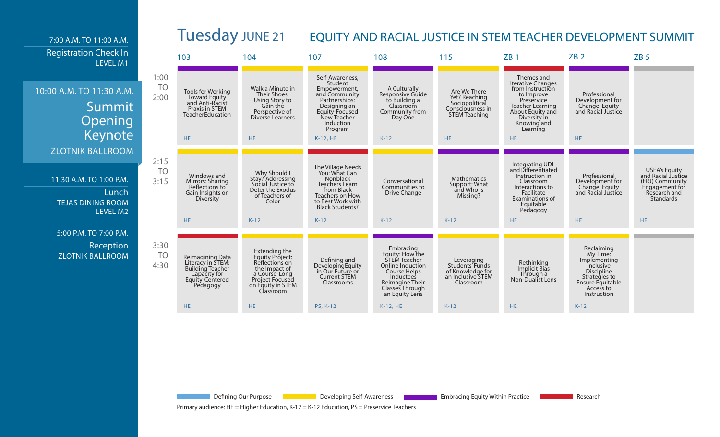

Defining Our Purpose **Developing Self-Awareness Developing Self-Awareness** Embracing Equity Within Practice **Research** Research

Primary audience: HE = Higher Education, K-12 = K-12 Education, PS = Preservice Teachers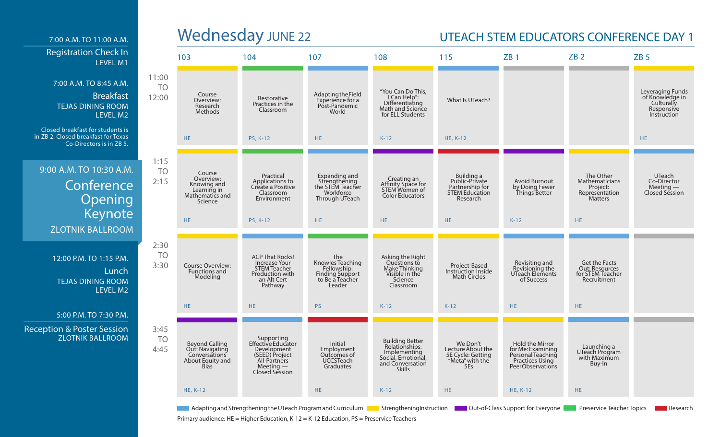## 7:00 A.M. TO 11:00 A.M. Registration Check In LEVEL M1

### 7:00 A.M. TO 8:45 A.M.

Breakfast TEJAS DINING ROOM LEVEL M2

Closed breakfast for students is in ZB 2. Closed breakfast for Texas Co-Directors is in ZB 5.

## 9:00 A.M. TO 10:30 A.M. **Conference Opening** Keynote ZLOTNIK BALLROOM

12:00 P.M. TO 1:15 P.M. **Lunch** TEJAS DINING ROOM LEVEL M2

### 5:00 P.M. TO 7:30 P.M.

Reception & Poster Session ZLOTNIK BALLROOM

# Wednesday JUNE 22 UTEACH STEM EDUCATORS CONFERENCE DAY 1

|                             | 103                                                                                          | 104                                                                                                                | 107                                                                                           | 108                                                                                                                 | 115                                                                                  | ZB1                                                                                              | ZB2                                                                              | ZB <sub>5</sub>                                                                |
|-----------------------------|----------------------------------------------------------------------------------------------|--------------------------------------------------------------------------------------------------------------------|-----------------------------------------------------------------------------------------------|---------------------------------------------------------------------------------------------------------------------|--------------------------------------------------------------------------------------|--------------------------------------------------------------------------------------------------|----------------------------------------------------------------------------------|--------------------------------------------------------------------------------|
| 11:00<br><b>TO</b><br>12:00 | Course<br>Overview:<br>Research<br>Methods                                                   | Restorative<br>Practices in the<br>Classroom                                                                       | AdaptingtheField<br>Experience for a<br>Post-Pandemic<br>World                                | "You Can Do This,<br>I Can Help":<br>Differentiating<br>Math and Science<br>for ELL Students                        | What Is UTeach?                                                                      |                                                                                                  |                                                                                  | Leveraging Funds<br>of Knowledge in<br>Culturally<br>Responsive<br>Instruction |
|                             | HE.                                                                                          | <b>PS, K-12</b>                                                                                                    | HE.                                                                                           | $K-12$                                                                                                              | HE, K-12                                                                             |                                                                                                  |                                                                                  | HE.                                                                            |
| 1:15<br><b>TO</b><br>2:15   | Course<br>Overview:<br>Knowing and<br>Learning in<br>Mathematics and<br>Science              | Practical<br>Applications to<br>Create a Positive<br>Classroom<br>Environment                                      | Expanding and<br>Strengthening<br>the STEM Teacher<br>Workforce<br>Through UTeach             | Creating an<br>Affinity Space for<br>STEM Women of<br><b>Color Educators</b>                                        | Building a<br>Public-Private<br>Partnership for<br><b>STEM Education</b><br>Research | Avoid Burnout<br>by Doing Fewer<br>Things Better                                                 | The Other<br>Mathematicians<br>Project:<br>Representation<br><b>Matters</b>      | UTeach<br>Co-Director<br>Meeting —<br>Closed Session                           |
|                             | HE.                                                                                          | <b>PS, K-12</b>                                                                                                    | HE.                                                                                           | HE.                                                                                                                 | HE.                                                                                  | $K-12$                                                                                           | HE.                                                                              |                                                                                |
| 2:30<br><b>TO</b><br>3:30   | <b>Course Overview:</b><br>Functions and<br>Modeling                                         | <b>ACP That Rocks!</b><br><b>Increase Your</b><br><b>STEM Teacher</b><br>Production with<br>an Alt Cert<br>Pathway | The<br>Knowles Teaching<br>Fellowship:<br><b>Finding Support</b><br>to Be a Teacher<br>Leader | Asking the Right<br>Questions to<br>Make Thinking<br>Visible in the<br>Science<br>Classroom                         | Project-Based<br>Instruction Inside<br><b>Math Circles</b>                           | Revisiting and<br>Revisioning the<br>UTeach Elements<br>of Success                               | <b>Get the Facts</b><br><b>Out: Resources</b><br>for STEM Teacher<br>Recruitment |                                                                                |
|                             | HE.                                                                                          | HE.                                                                                                                | <b>PS</b>                                                                                     | $K-12$                                                                                                              | $K-12$                                                                               | HE.                                                                                              | HE.                                                                              |                                                                                |
| 3:45<br><b>TO</b><br>4:45   | <b>Beyond Calling</b><br>Out: Navigating<br>Conversations<br>About Equity and<br><b>Bias</b> | Supporting<br>Effective Educator<br>Development<br>(SEED) Project<br>All-Partners<br>$Meeting$ —<br>Closed Session | Initial<br>Employment<br>Outcomes of<br><b>UCCSTeach</b><br>Graduates                         | <b>Building Better</b><br>Relationships:<br>Implementing<br>Social, Emotional,<br>and Conversation<br><b>Skills</b> | We Don't<br>Lecture About the<br>5E Cycle: Getting<br>"Meta" with the<br>5Es         | Hold the Mirror<br>for Me: Examining<br>Personal Teaching<br>Practices Using<br>PeerObservations | Launching a<br>UTeach Program<br>with Maximum<br>Buy-In                          |                                                                                |
|                             | <b>HE, K-12</b>                                                                              |                                                                                                                    | HE.                                                                                           | $K-12$                                                                                                              | HE.                                                                                  | <b>HE, K-12</b>                                                                                  | HE.                                                                              |                                                                                |

Adapting and Strengthening the UTeach Program and Curriculum **Strengthening Instruction Dut-of-Class Support for Everyone Dut-Preservice Teacher Topics Research** Research

Primary audience: HE = Higher Education, K-12 = K-12 Education, PS = Preservice Teachers